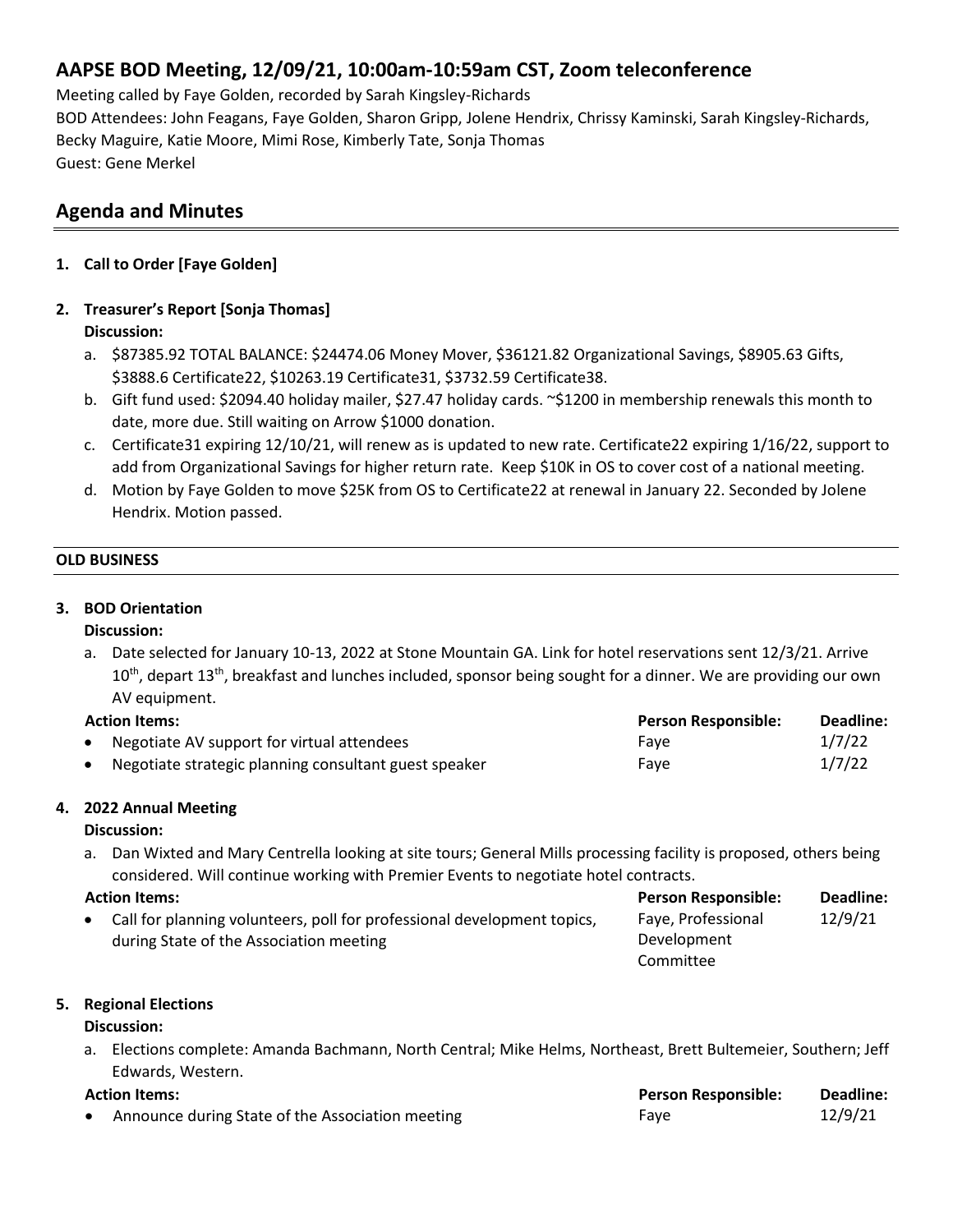# **AAPSE BOD Meeting, 12/09/21, 10:00am-10:59am CST, Zoom teleconference**

Meeting called by Faye Golden, recorded by Sarah Kingsley-Richards BOD Attendees: John Feagans, Faye Golden, Sharon Gripp, Jolene Hendrix, Chrissy Kaminski, Sarah Kingsley-Richards, Becky Maguire, Katie Moore, Mimi Rose, Kimberly Tate, Sonja Thomas Guest: Gene Merkel

# **Agenda and Minutes**

**1. Call to Order [Faye Golden]**

## **2. Treasurer's Report [Sonja Thomas]**

### **Discussion:**

- a. \$87385.92 TOTAL BALANCE: \$24474.06 Money Mover, \$36121.82 Organizational Savings, \$8905.63 Gifts, \$3888.6 Certificate22, \$10263.19 Certificate31, \$3732.59 Certificate38.
- b. Gift fund used: \$2094.40 holiday mailer, \$27.47 holiday cards. ~\$1200 in membership renewals this month to date, more due. Still waiting on Arrow \$1000 donation.
- c. Certificate31 expiring 12/10/21, will renew as is updated to new rate. Certificate22 expiring 1/16/22, support to add from Organizational Savings for higher return rate. Keep \$10K in OS to cover cost of a national meeting.
- d. Motion by Faye Golden to move \$25K from OS to Certificate22 at renewal in January 22. Seconded by Jolene Hendrix. Motion passed.

### **OLD BUSINESS**

### **3. BOD Orientation**

#### **Discussion:**

a. Date selected for January 10-13, 2022 at Stone Mountain GA. Link for hotel reservations sent 12/3/21. Arrive 10<sup>th</sup>, depart 13<sup>th</sup>, breakfast and lunches included, sponsor being sought for a dinner. We are providing our own AV equipment.

## **Action Items: Person Responsible: Deadline:** Negotiate AV support for virtual attendees Faye Faye Faye Faye 1/7/22 **• Negotiate strategic planning consultant guest speaker Faye Faye Faye 1/7/22**

## **4. 2022 Annual Meeting**

## **Discussion:**

a. Dan Wixted and Mary Centrella looking at site tours; General Mills processing facility is proposed, others being considered. Will continue working with Premier Events to negotiate hotel contracts.

| <b>Action Items:</b> |                                                                           | <b>Person Responsible:</b> | Deadline: |
|----------------------|---------------------------------------------------------------------------|----------------------------|-----------|
|                      | • Call for planning volunteers, poll for professional development topics, | Faye, Professional         | 12/9/21   |
|                      | during State of the Association meeting                                   | Development                |           |
|                      |                                                                           | Committee                  |           |

#### **5. Regional Elections**

## **Discussion:**

a. Elections complete: Amanda Bachmann, North Central; Mike Helms, Northeast, Brett Bultemeier, Southern; Jeff Edwards, Western.

| <b>Action Items:</b> |                                                  | <b>Person Responsible:</b> | Deadline: |
|----------------------|--------------------------------------------------|----------------------------|-----------|
|                      | Announce during State of the Association meeting | Fave                       | 12/9/21   |